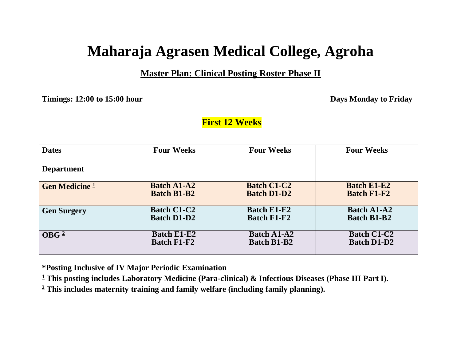# **Maharaja Agrasen Medical College, Agroha**

#### **Master Plan: Clinical Posting Roster Phase II**

**Timings: 12:00 to 15:00 hour Days Monday to Friday**

#### **First 12 Weeks**

| <b>Dates</b>              | <b>Four Weeks</b>  | <b>Four Weeks</b>  | <b>Four Weeks</b>  |
|---------------------------|--------------------|--------------------|--------------------|
| <b>Department</b>         |                    |                    |                    |
| <b>Gen Medicine 1</b>     | <b>Batch A1-A2</b> | <b>Batch C1-C2</b> | <b>Batch E1-E2</b> |
|                           | <b>Batch B1-B2</b> | <b>Batch D1-D2</b> | <b>Batch F1-F2</b> |
| <b>Gen Surgery</b>        | <b>Batch C1-C2</b> | <b>Batch E1-E2</b> | <b>Batch A1-A2</b> |
|                           | <b>Batch D1-D2</b> | <b>Batch F1-F2</b> | <b>Batch B1-B2</b> |
| $\overline{\text{OBG}}^2$ | <b>Batch E1-E2</b> | <b>Batch A1-A2</b> | <b>Batch C1-C2</b> |
|                           | <b>Batch F1-F2</b> | <b>Batch B1-B2</b> | <b>Batch D1-D2</b> |

**\*Posting Inclusive of IV Major Periodic Examination**

**<sup>1</sup> This posting includes Laboratory Medicine (Para-clinical) & Infectious Diseases (Phase III Part I).**

**<sup>2</sup> This includes maternity training and family welfare (including family planning).**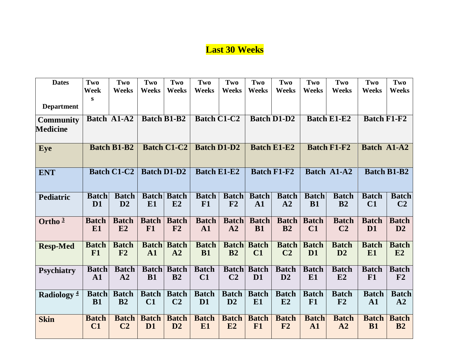## **Last 30 Weeks**

| <b>Dates</b>      | Two            | Two                | Two                | Two                | Two                | Two            | Two            | Two                | Two            | Two                | Two                | Two                |
|-------------------|----------------|--------------------|--------------------|--------------------|--------------------|----------------|----------------|--------------------|----------------|--------------------|--------------------|--------------------|
|                   | <b>Week</b>    | <b>Weeks</b>       | <b>Weeks</b>       | <b>Weeks</b>       | <b>Weeks</b>       | <b>Weeks</b>   | Weeks          | <b>Weeks</b>       | <b>Weeks</b>   | Weeks              | Weeks              | Weeks              |
|                   | S              |                    |                    |                    |                    |                |                |                    |                |                    |                    |                    |
| <b>Department</b> |                |                    |                    |                    |                    |                |                |                    |                |                    |                    |                    |
| <b>Community</b>  |                | Batch A1-A2        |                    | <b>Batch B1-B2</b> | <b>Batch C1-C2</b> |                |                | <b>Batch D1-D2</b> |                | <b>Batch E1-E2</b> | <b>Batch F1-F2</b> |                    |
| <b>Medicine</b>   |                |                    |                    |                    |                    |                |                |                    |                |                    |                    |                    |
| Eye               |                | <b>Batch B1-B2</b> |                    | <b>Batch C1-C2</b> | <b>Batch D1-D2</b> |                |                | <b>Batch E1-E2</b> |                | <b>Batch F1-F2</b> | Batch A1-A2        |                    |
|                   |                |                    |                    |                    |                    |                |                |                    |                |                    |                    |                    |
| <b>ENT</b>        |                | <b>Batch C1-C2</b> | <b>Batch D1-D2</b> |                    | <b>Batch E1-E2</b> |                |                | <b>Batch F1-F2</b> |                | <b>Batch A1-A2</b> |                    | <b>Batch B1-B2</b> |
|                   |                |                    |                    |                    |                    |                |                |                    |                |                    |                    |                    |
| Pediatric         | <b>Batch</b>   | <b>Batch</b>       |                    | <b>Batch Batch</b> | <b>Batch</b>       | <b>Batch</b>   | <b>Batch</b>   | <b>Batch</b>       | <b>Batch</b>   | <b>Batch</b>       | <b>Batch</b>       | <b>Batch</b>       |
|                   | D <sub>1</sub> | D2                 | E1                 | E2                 | F1                 | F2             | ${\bf A1}$     | A2                 | <b>B1</b>      | B <sub>2</sub>     | C1                 | C <sub>2</sub>     |
| Ortho $3$         | <b>Batch</b>   | <b>Batch</b>       | <b>Batch</b>       | <b>Batch</b>       | <b>Batch</b>       | <b>Batch</b>   | <b>Batch</b>   | <b>Batch</b>       | <b>Batch</b>   | <b>Batch</b>       | <b>Batch</b>       | <b>Batch</b>       |
|                   | E <sub>1</sub> | E2                 | F1                 | F2                 | $\mathbf{A1}$      | A2             | <b>B1</b>      | B <sub>2</sub>     | C1             | C <sub>2</sub>     | D <sub>1</sub>     | D2                 |
| <b>Resp-Med</b>   | <b>Batch</b>   | <b>Batch</b>       |                    | <b>Batch Batch</b> | <b>Batch</b>       | <b>Batch</b>   | <b>Batch</b>   | <b>Batch</b>       | <b>Batch</b>   | <b>Batch</b>       | <b>Batch</b>       | <b>Batch</b>       |
|                   | F1             | F <sub>2</sub>     | ${\bf A1}$         | A2                 | <b>B1</b>          | B <sub>2</sub> | C1             | C <sub>2</sub>     | D <sub>1</sub> | D2                 | E <sub>1</sub>     | E2                 |
| <b>Psychiatry</b> | <b>Batch</b>   | <b>Batch</b>       | <b>Batch</b>       | <b>Batch</b>       | <b>Batch</b>       | <b>Batch</b>   | <b>Batch</b>   | <b>Batch</b>       | <b>Batch</b>   | <b>Batch</b>       | <b>Batch</b>       | <b>Batch</b>       |
|                   | $\mathbf{A1}$  | A2                 | <b>B1</b>          | B <sub>2</sub>     | $\bf C1$           | C <sub>2</sub> | D <sub>1</sub> | D2                 | E <sub>1</sub> | E2                 | F1                 | F2                 |
| Radiology $4$     |                | <b>Batch</b> Batch | <b>Batch</b>       | <b>Batch</b>       | <b>Batch</b>       | <b>Batch</b>   | <b>Batch</b>   | <b>Batch</b>       | <b>Batch</b>   | <b>Batch</b>       | <b>Batch</b>       | <b>Batch</b>       |
|                   | <b>B1</b>      | B <sub>2</sub>     | C1                 | C <sub>2</sub>     | D <sub>1</sub>     | D2             | E <sub>1</sub> | E2                 | F1             | F <sub>2</sub>     | ${\bf A1}$         | A2                 |
| <b>Skin</b>       | <b>Batch</b>   | <b>Batch</b>       | <b>Batch</b>       | <b>Batch</b>       | <b>Batch</b>       | <b>Batch</b>   | <b>Batch</b>   | <b>Batch</b>       | <b>Batch</b>   | <b>Batch</b>       | <b>Batch</b>       | <b>Batch</b>       |
|                   | C1             | C <sub>2</sub>     | D <sub>1</sub>     | D2                 | E1                 | E2             | F1             | F2                 | $\mathbf{A1}$  | A2                 | <b>B1</b>          | B2                 |
|                   |                |                    |                    |                    |                    |                |                |                    |                |                    |                    |                    |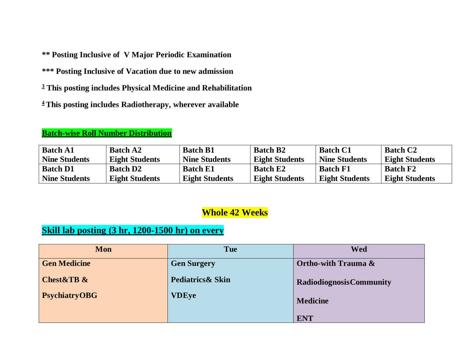**\*\* Posting Inclusive of V Major Periodic Examination**

**\*\*\* Posting Inclusive of Vacation due to new admission**

**<sup>3</sup> This posting includes Physical Medicine and Rehabilitation**

**<sup>4</sup> This posting includes Radiotherapy, wherever available**

#### **Batch-wise Roll Number Distribution**

| <b>Batch A1</b>      | <b>Batch A2</b>       | <b>Batch B1</b>       | <b>Batch B2</b>       | <b>Batch C1</b>       | <b>Batch C2</b>       |
|----------------------|-----------------------|-----------------------|-----------------------|-----------------------|-----------------------|
| <b>Nine Students</b> | <b>Eight Students</b> | <b>Nine Students</b>  | <b>Eight Students</b> | <b>Nine Students</b>  | <b>Eight Students</b> |
| <b>Batch D1</b>      | <b>Batch D2</b>       | <b>Batch E1</b>       | <b>Batch E2</b>       | <b>Batch F1</b>       | <b>Batch F2</b>       |
| <b>Nine Students</b> | <b>Eight Students</b> | <b>Eight Students</b> | <b>Eight Students</b> | <b>Eight Students</b> | <b>Eight Students</b> |

## **Whole 42 Weeks**

## **Skill lab posting (3 hr, 1200-1500 hr) on every**

| Mon                  | Tue                | <b>Wed</b>                      |
|----------------------|--------------------|---------------------------------|
| <b>Gen Medicine</b>  | <b>Gen Surgery</b> | <b>Ortho-with Trauma &amp;</b>  |
| Chest&TB &           | Pediatrics & Skin  | <b>Radiodiognosis Community</b> |
| <b>PsychiatryOBG</b> | <b>VDEye</b>       | <b>Medicine</b>                 |
|                      |                    | <b>ENT</b>                      |